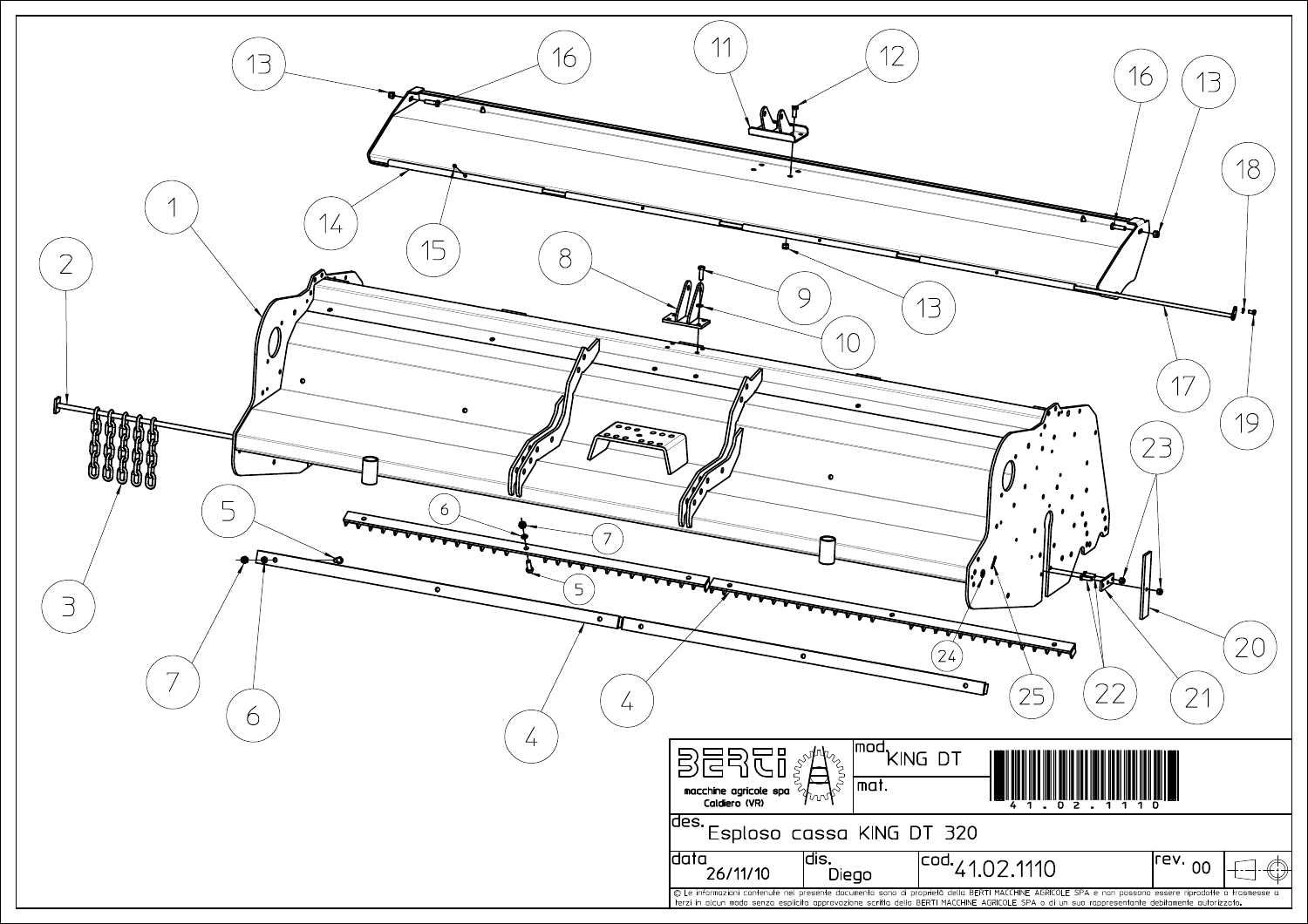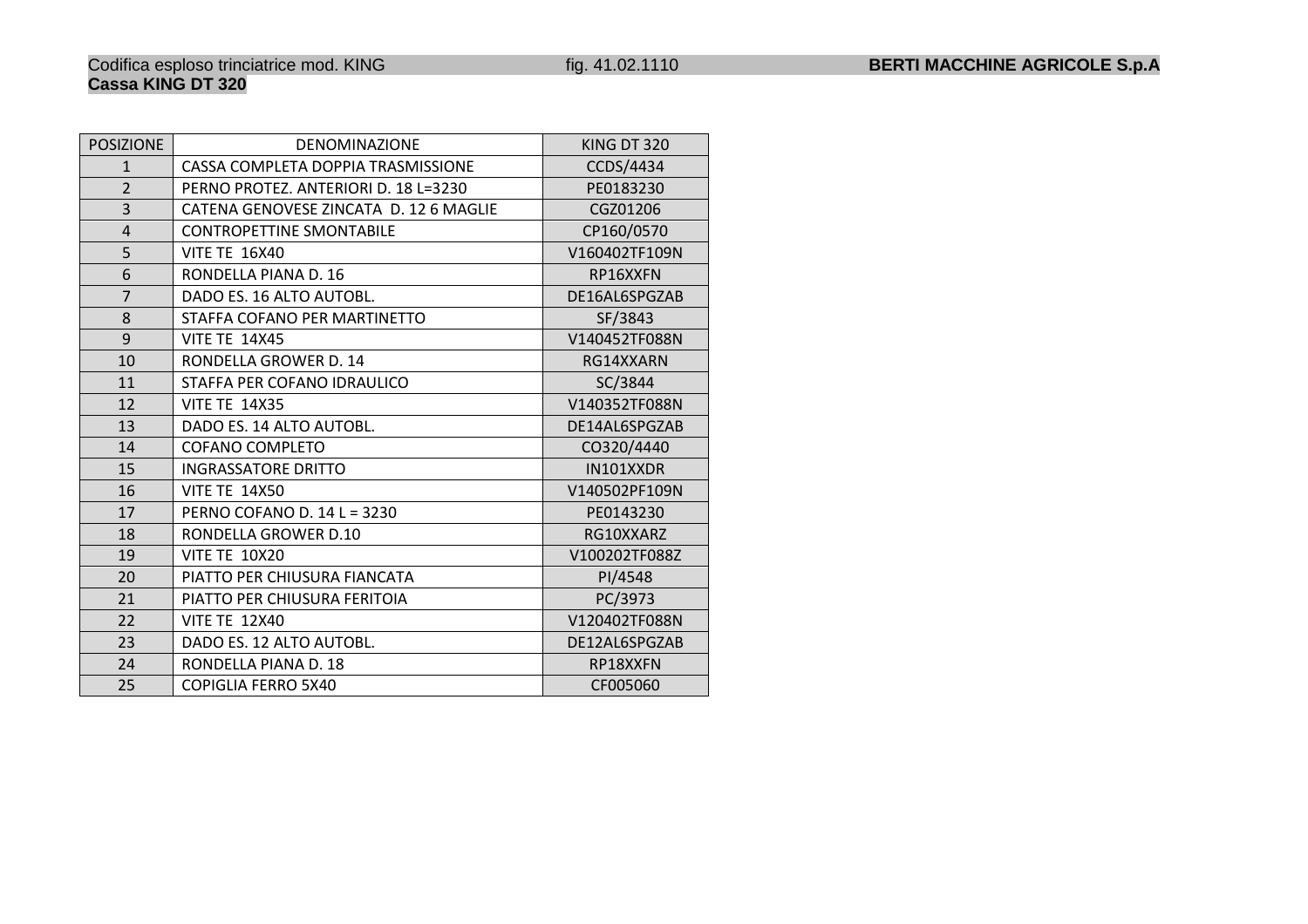## POSIZIONEDENOMINAZIONE KING DT 320<br>TA DOPPIA TRASMISSIONE CCDS/4434 1CASSA COMPLETA DOPPIA TRASMISSIONE CCDS/4434<br>PERNO PROTEZ, ANTERIORI D. 18 L=3230 PE0183230 2PERNO PROTEZ. ANTERIORI D. 18 L=3230 PE0183230<br>CATENA GENOVESE ZINCATA D. 12 6 MAGLIE CGZ01206 3 CATENA GENOVESE ZINCATA D. <sup>12</sup> 6 MAGLIE CGZ01206 4CONTROPETTINE SMONTABILE<br>VITE TE 16X40 V160402TF109 5V160402TF109N<br>RP16XXFN 6RONDELLA PIANA D. 16 DE16AL6SPGZAB 7DADO ES. 16 ALTO AUTOBL.<br>STAFFA COFANO PER MARTINETTO SF/3843 8STAFFA COFANO PER MARTINETTO<br>VITE TE 14X45 9V140452TF088N<br>RG14XXARN 10RONDELLA GROWER D. 14 0 SC/3844 11STAFFA PER COFANO IDRAULICO 12V140352TF088N DE14AL6SPGZAB 13DADO ES. 14 ALTO AUTOBL.<br>COFANO COMPLETO CORPORATIVO CO320/4440 14COFANO COMPLETO 15INGRASSATORE DRITTO IN101XXDR 16V140502PF109N<br>PE0143230 17PERNO COFANO D. 14 L = 3230 PE0143230 18RONDELLA GROWER D.10 RG10XXARZ<br>VITE TE 10X20 V100202TF088 19V100202TF088Z 20PIATTO PER CHIUSURA FIANCATA<br>PIATTO PER CHIUSURA FERITOIA PIATTO PER CHIUSURA FERITOIA 21PIATTO PER CHIUSURA FERITOIA<br>VITE TE 12X40 22V120402TF088N DE12AL6SPGZAB 23DADO ES. 12 ALTO AUTOBL.<br>RONDELLA PIANA D. 18 RONDELLA PIANA D. 18 24RONDELLA PIANA D. 18 CF005060 25**COPIGLIA FERRO 5X40**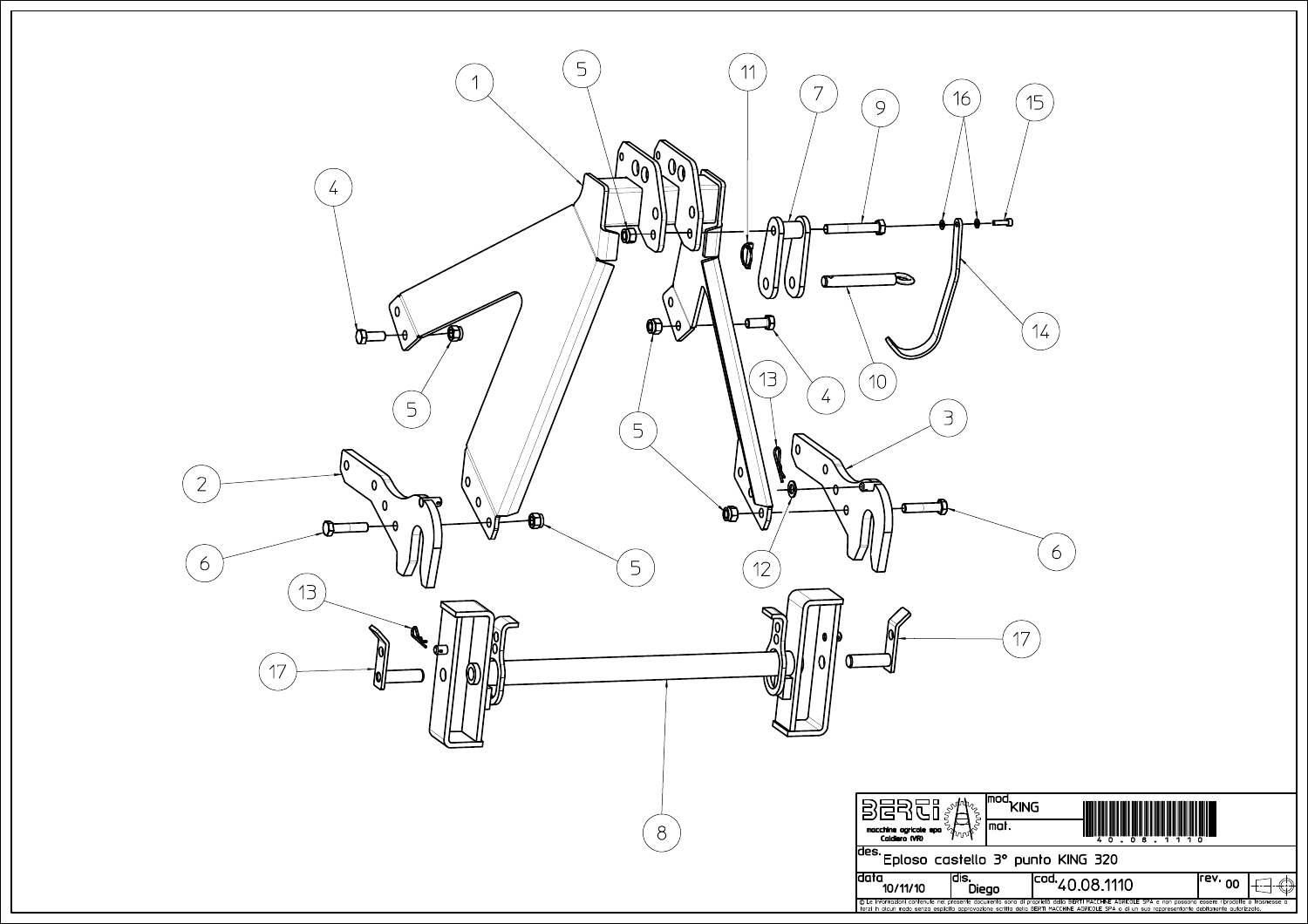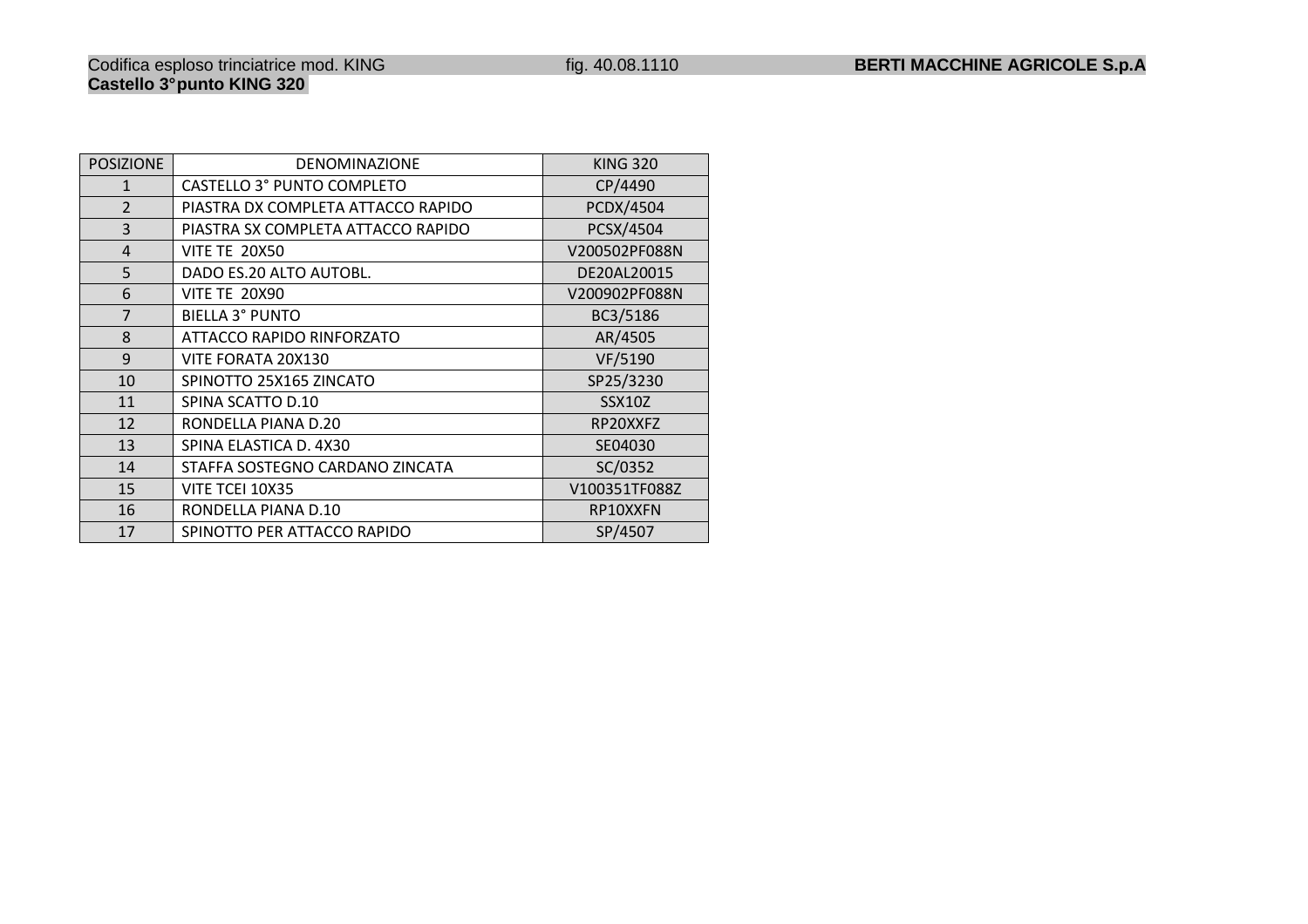| <b>POSIZIONE</b> | <b>DENOMINAZIONE</b>               | <b>KING 320</b> |
|------------------|------------------------------------|-----------------|
| $\mathbf{1}$     | <b>CASTELLO 3° PUNTO COMPLETO</b>  | CP/4490         |
| $\overline{2}$   | PIASTRA DX COMPLETA ATTACCO RAPIDO | PCDX/4504       |
| 3                | PIASTRA SX COMPLETA ATTACCO RAPIDO | PCSX/4504       |
| $\overline{4}$   | <b>VITE TE 20X50</b>               | V200502PF088N   |
| 5                | DADO ES.20 ALTO AUTOBL.            | DE20AL20015     |
| 6                | <b>VITE TE 20X90</b>               | V200902PF088N   |
| 7                | BIELLA 3° PUNTO                    | BC3/5186        |
| 8                | ATTACCO RAPIDO RINFORZATO          | AR/4505         |
| 9                | VITE FORATA 20X130                 | VF/5190         |
| 10               | SPINOTTO 25X165 ZINCATO            | SP25/3230       |
| 11               | SPINA SCATTO D.10                  | <b>SSX10Z</b>   |
| 12               | RONDELLA PIANA D.20                | RP20XXFZ        |
| 13               | SPINA ELASTICA D. 4X30             | SE04030         |
| 14               | STAFFA SOSTEGNO CARDANO ZINCATA    | SC/0352         |
| 15               | VITE TCEI 10X35                    | V100351TF088Z   |
| 16               | RONDELLA PIANA D.10                | RP10XXFN        |
| 17               | SPINOTTO PER ATTACCO RAPIDO        | SP/4507         |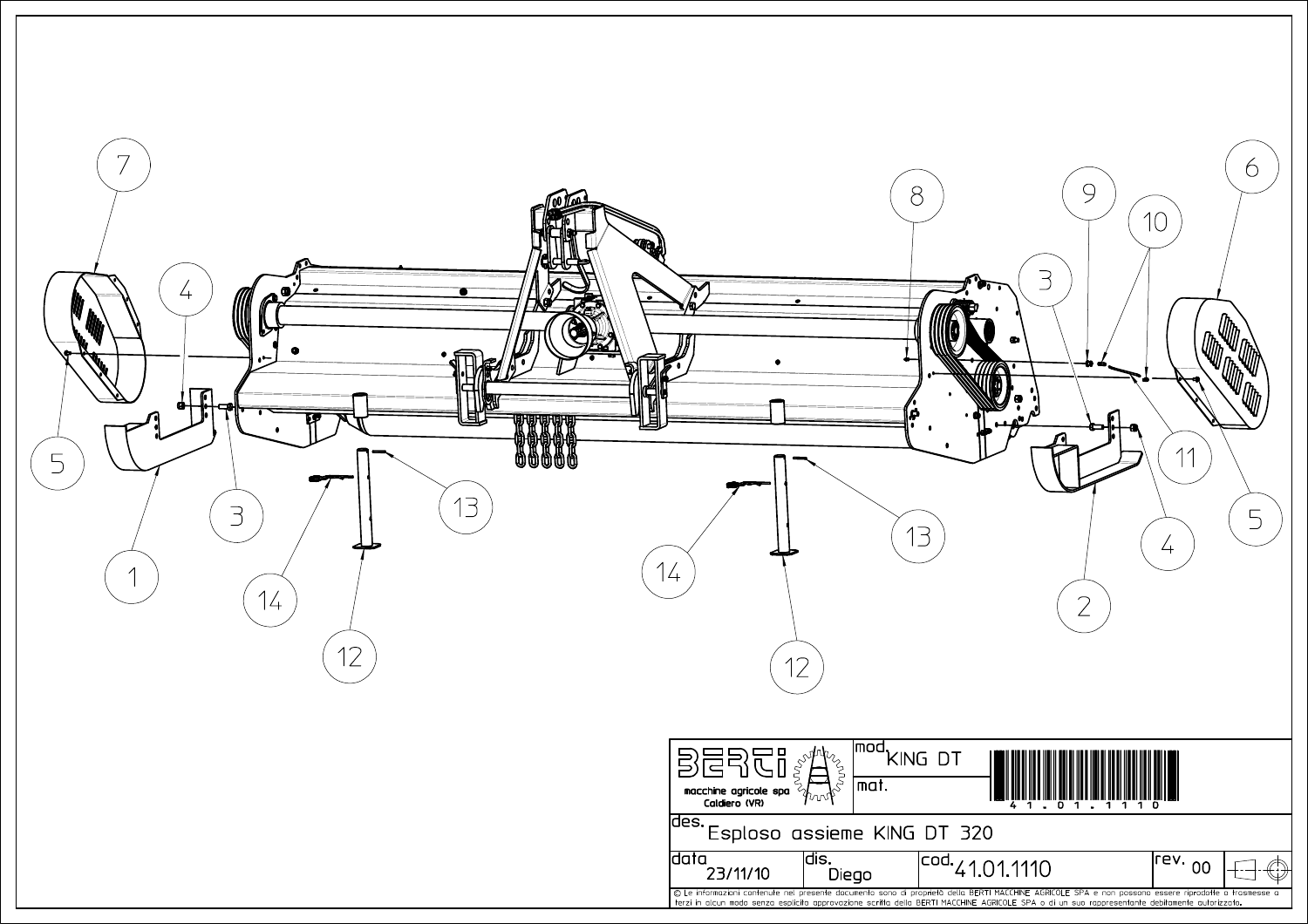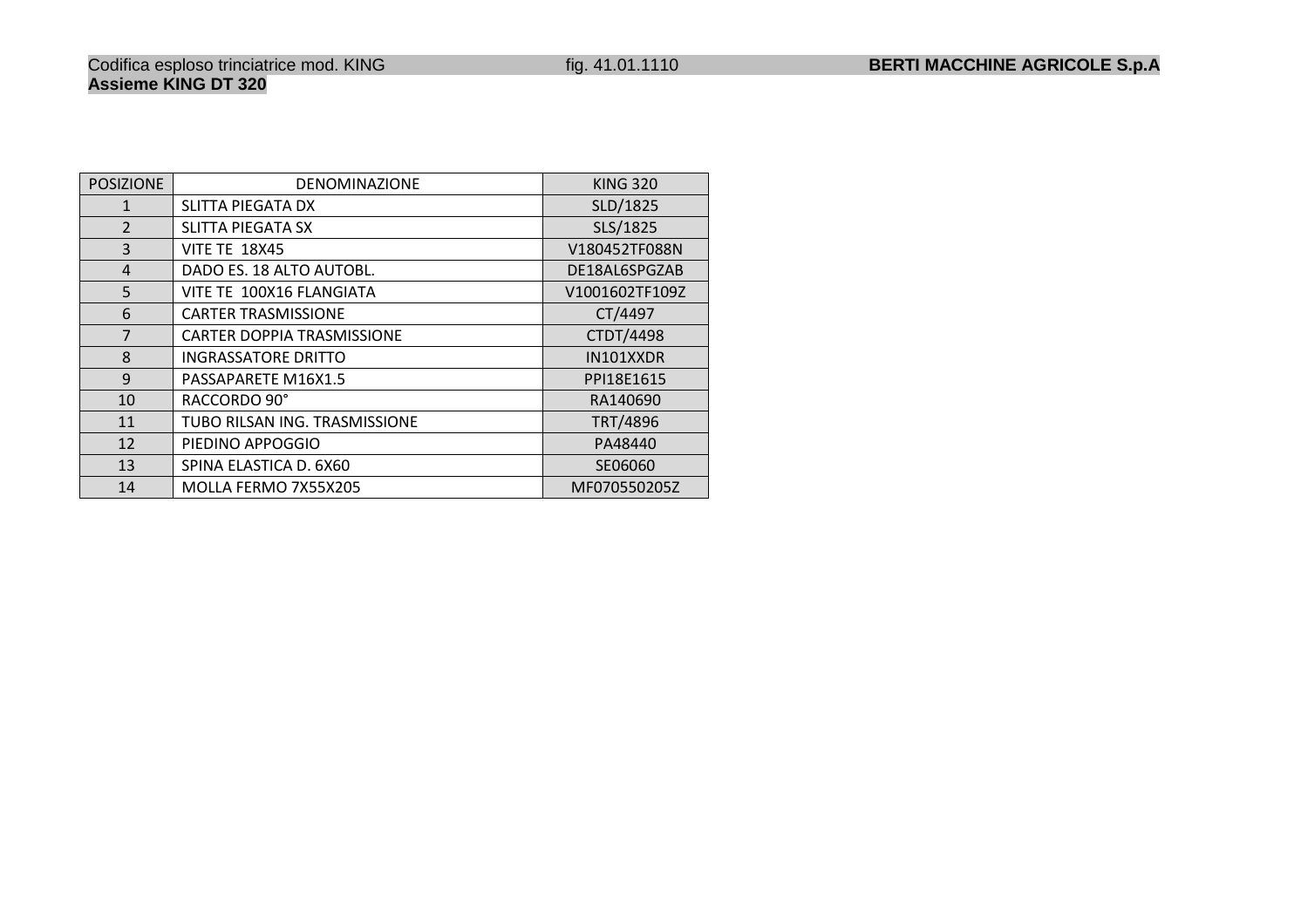| <b>POSIZIONE</b> | DENOMINAZIONE                     | <b>KING 320</b> |
|------------------|-----------------------------------|-----------------|
| $\mathbf{1}$     | SLITTA PIEGATA DX                 | SLD/1825        |
| $\overline{2}$   | <b>SLITTA PIEGATA SX</b>          | SLS/1825        |
| $\overline{3}$   | <b>VITE TE 18X45</b>              | V180452TF088N   |
| $\overline{4}$   | DADO ES. 18 ALTO AUTOBL.          | DE18AL6SPGZAB   |
| 5                | VITE TE 100X16 FLANGIATA          | V1001602TF109Z  |
| 6                | <b>CARTER TRASMISSIONE</b>        | CT/4497         |
| $\overline{7}$   | <b>CARTER DOPPIA TRASMISSIONE</b> | CTDT/4498       |
| 8                | <b>INGRASSATORE DRITTO</b>        | IN101XXDR       |
| $\mathbf{q}$     | PASSAPARETE M16X1.5               | PPI18E1615      |
| 10               | RACCORDO 90°                      | RA140690        |
| 11               | TUBO RILSAN ING. TRASMISSIONE     | TRT/4896        |
| 12               | PIEDINO APPOGGIO                  | PA48440         |
| 13               | SPINA ELASTICA D. 6X60            | SE06060         |
| 14               | MOLLA FERMO 7X55X205              | MF070550205Z    |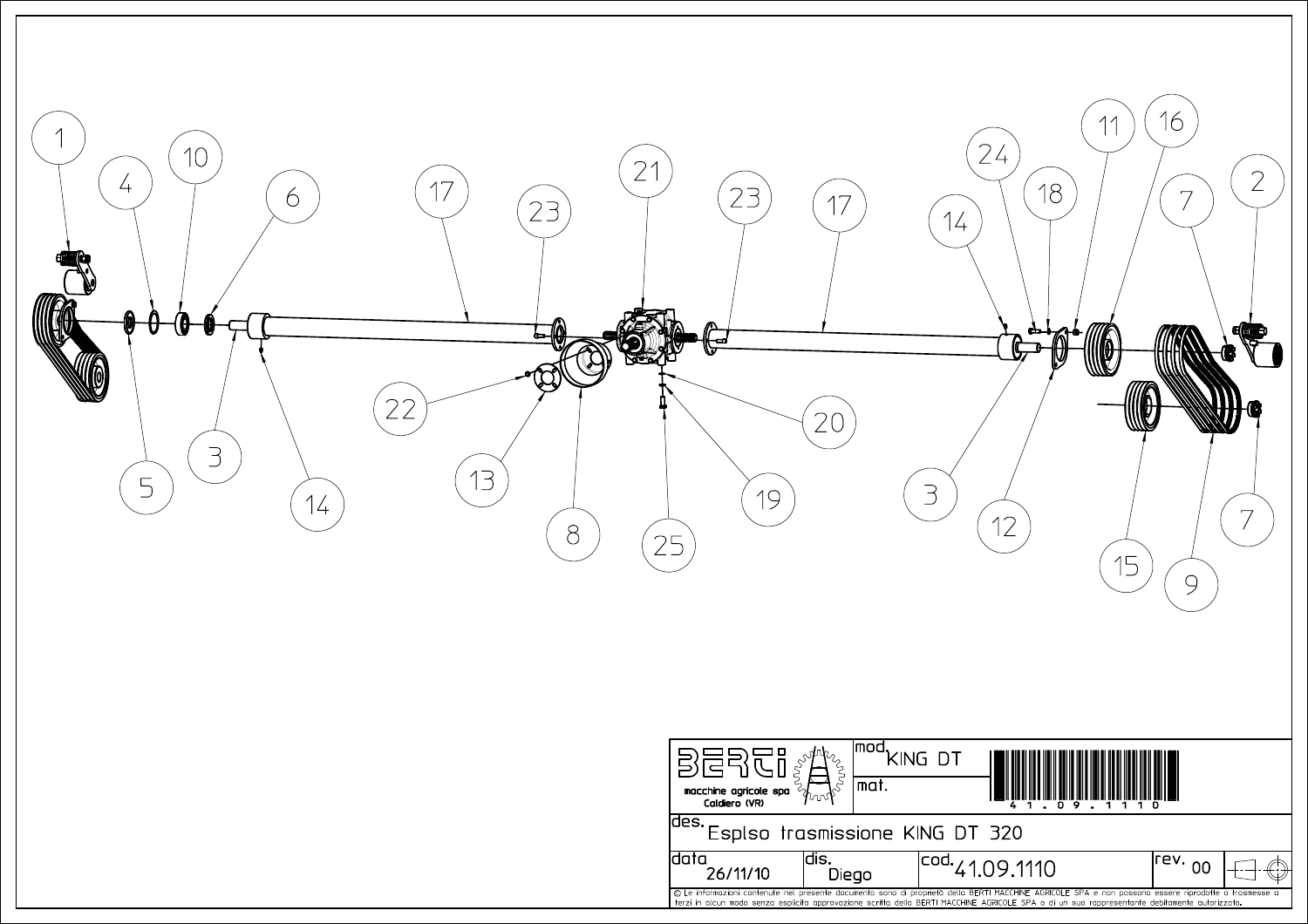

| macchine agricole spa<br>Caldiero (VR)                                                                                                                                                                                                                                                                 | Imod<br>mat.   | ING DT<br>$\bullet$  |      |  |
|--------------------------------------------------------------------------------------------------------------------------------------------------------------------------------------------------------------------------------------------------------------------------------------------------------|----------------|----------------------|------|--|
| ldes.<br>Esplso trasmissione KING DT 320                                                                                                                                                                                                                                                               |                |                      |      |  |
| 26/11/10                                                                                                                                                                                                                                                                                               | ldıs.<br>Diego | $1^{cod.}41.09.1110$ | rev. |  |
| © Le informazioni contenute nel presente documento sono di proprietà della BERTI MACCHINE AGRICOLE SPA e non possono essere riprodotte o trasmesse a<br>terzi in alcun modo senza esplicita approvazione scritta della BERTI MACCHINE AGRICOLE SPA o di un suo rappresentante debitamente autorizzato. |                |                      |      |  |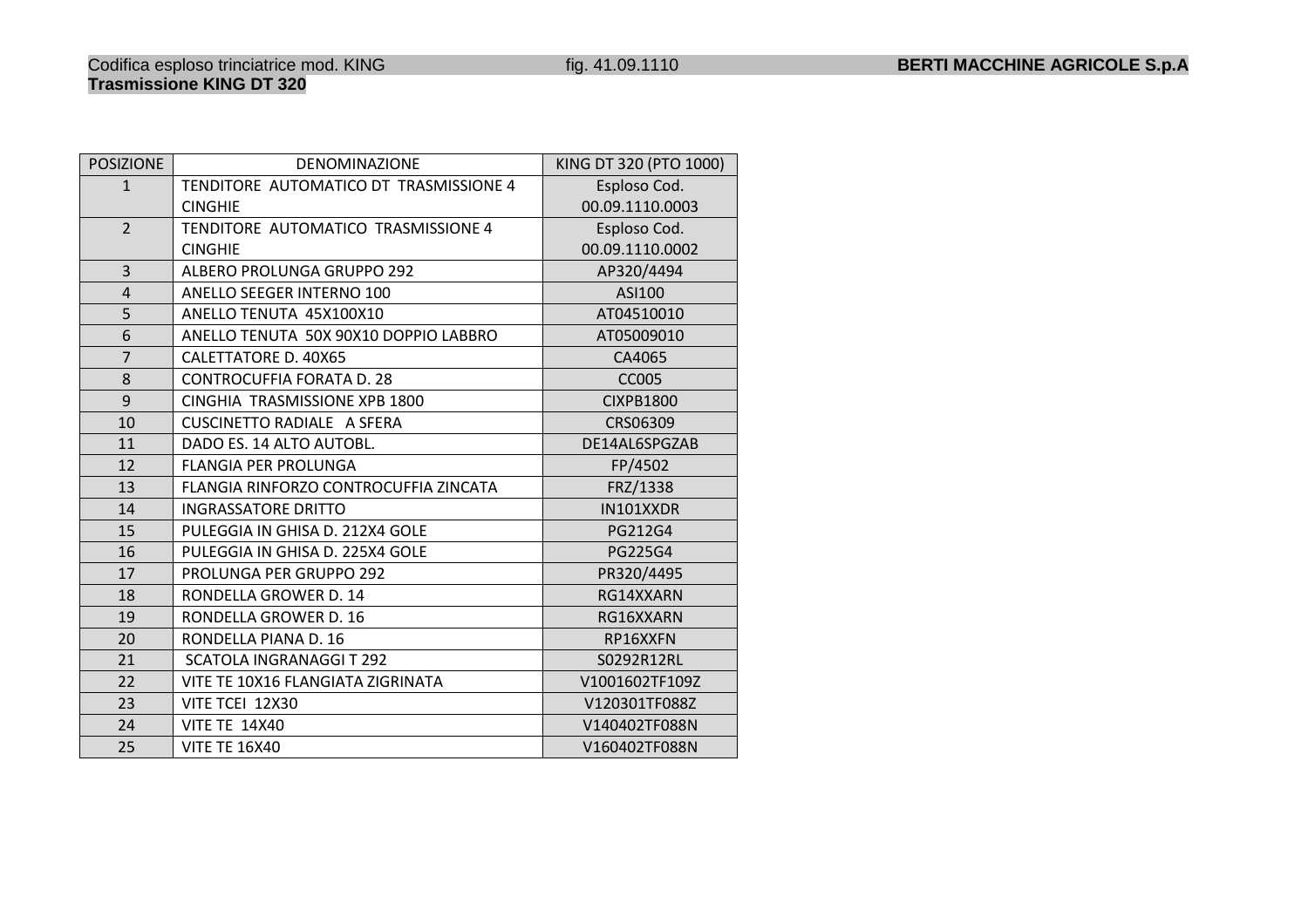FRZ/1338

IN101XXDR<br>PG212G4

RP16XXFN

S0292R12RL

V1001602TF109Z<br>V120301TF088Z

FLANGIA RINFORZO CONTROCUFFIA ZINCATA

PULEGGIA IN GHISA D. 212X4 GOLE PULEGGIA IN GHISA D. 225X4 GOLE PG212G4

PULEGGIA IN GHISA D. 225X4 GOLE PG225G4<br>PROLUNGA PER GRUPPO 292 PR320/4495

PROLUNGA PER GRUPPO 292 PR320/4495<br>RONDELLA GROWER D. 14 RG14XXARN

VITE TE 14X40<br>
VITE TE 16X40<br>
VITE TE 16X40<br>
VITE TE 16X40

5 VITE TE 16X40 V160402TF088N

R D. 16 RG16XXARN

INGRASSATORE DRITTO

RONDELLA GROWER D. 14

RONDELLA GROWER

SCATOLA INGRANAGGI T 292

VITE TE 10X16 FLANGIATA ZIGRINATA

RONDELLA PIANA D. 16

**VITE TCEI 12X30**<br>VITE TE 14X40

POSIZIONE

1

2

3

4

5

6

7

8

9

10

11

12

13

14

15

16

17

18

19

20

21

22

23

24

25

| <b>ZIONE</b>   | <b>DENOMINAZIONE</b>                   | KING DT 320 (PTO 1000) |
|----------------|----------------------------------------|------------------------|
| $\mathbf{1}$   | TENDITORE AUTOMATICO DT TRASMISSIONE 4 | Esploso Cod.           |
|                | <b>CINGHIE</b>                         | 00.09.1110.0003        |
| $\overline{2}$ | TENDITORE AUTOMATICO TRASMISSIONE 4    | Esploso Cod.           |
|                | <b>CINGHIE</b>                         | 00.09.1110.0002        |
| 3              | ALBERO PROLUNGA GRUPPO 292             | AP320/4494             |
| 4              | ANELLO SEEGER INTERNO 100              | ASI100                 |
| 5              | ANELLO TENUTA 45X100X10                | AT04510010             |
| 6              | ANELLO TENUTA 50X 90X10 DOPPIO LABBRO  | AT05009010             |
| 7              | CALETTATORE D. 40X65                   | CA4065                 |
| 8              | <b>CONTROCUFFIA FORATA D. 28</b>       | <b>CC005</b>           |
| 9              | CINGHIA TRASMISSIONE XPB 1800          | <b>CIXPB1800</b>       |
| 10             | <b>CUSCINETTO RADIALE A SFERA</b>      | CRS06309               |
| $\overline{1}$ | DADO ES. 14 ALTO AUTOBL.               | DE14AL6SPGZAB          |
| $\overline{2}$ | <b>FLANGIA PER PROLUNGA</b>            | FP/4502                |
|                |                                        |                        |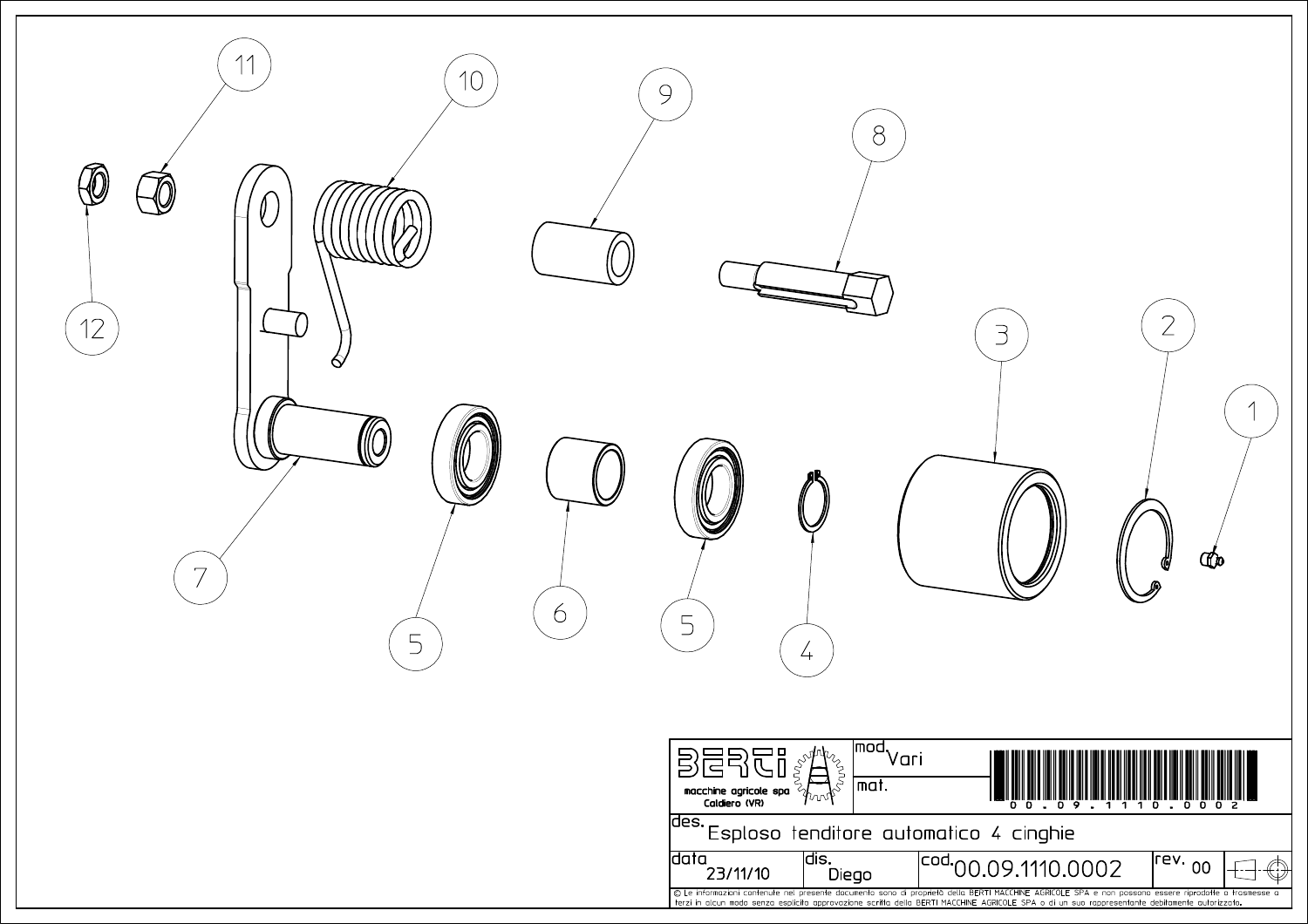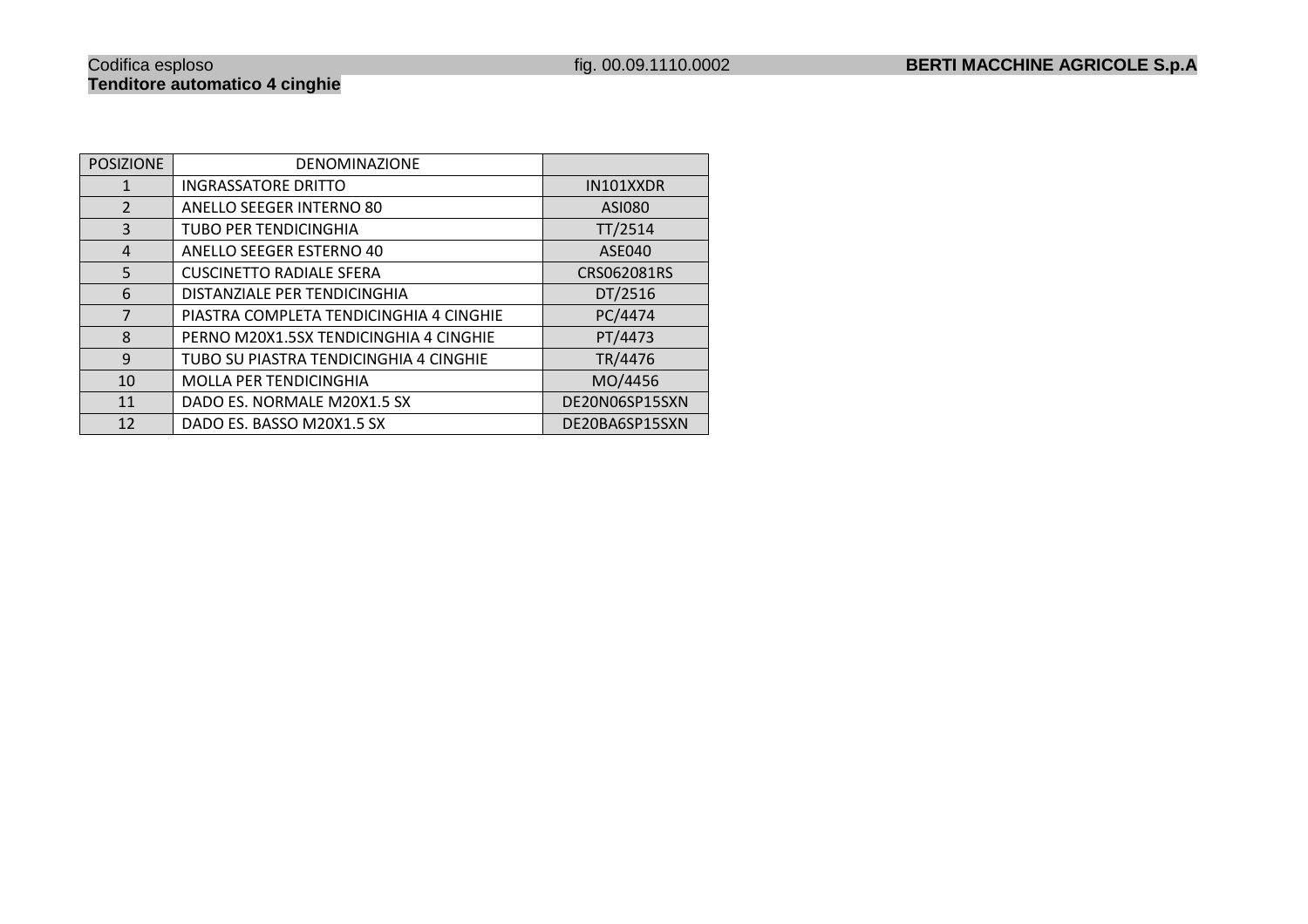| <b>POSIZIONE</b> | <b>DENOMINAZIONE</b>                    |                |
|------------------|-----------------------------------------|----------------|
| 1                | <b>INGRASSATORE DRITTO</b>              | IN101XXDR      |
| $\overline{2}$   | <b>ANELLO SEEGER INTERNO 80</b>         | ASI080         |
| 3                | <b>TUBO PER TENDICINGHIA</b>            | TT/2514        |
| 4                | ANELLO SEEGER ESTERNO 40                | ASE040         |
| 5                | <b>CUSCINETTO RADIALE SFERA</b>         | CRS062081RS    |
| 6                | DISTANZIALE PER TENDICINGHIA            | DT/2516        |
| $\overline{7}$   | PIASTRA COMPLETA TENDICINGHIA 4 CINGHIE | PC/4474        |
| 8                | PERNO M20X1.5SX TENDICINGHIA 4 CINGHIE  | PT/4473        |
| 9                | TUBO SU PIASTRA TENDICINGHIA 4 CINGHIE  | TR/4476        |
| 10               | <b>MOLLA PER TENDICINGHIA</b>           | MO/4456        |
| 11               | DADO ES. NORMALE M20X1.5 SX             | DE20N06SP15SXN |
| 12               | DADO ES. BASSO M20X1.5 SX               | DE20BA6SP15SXN |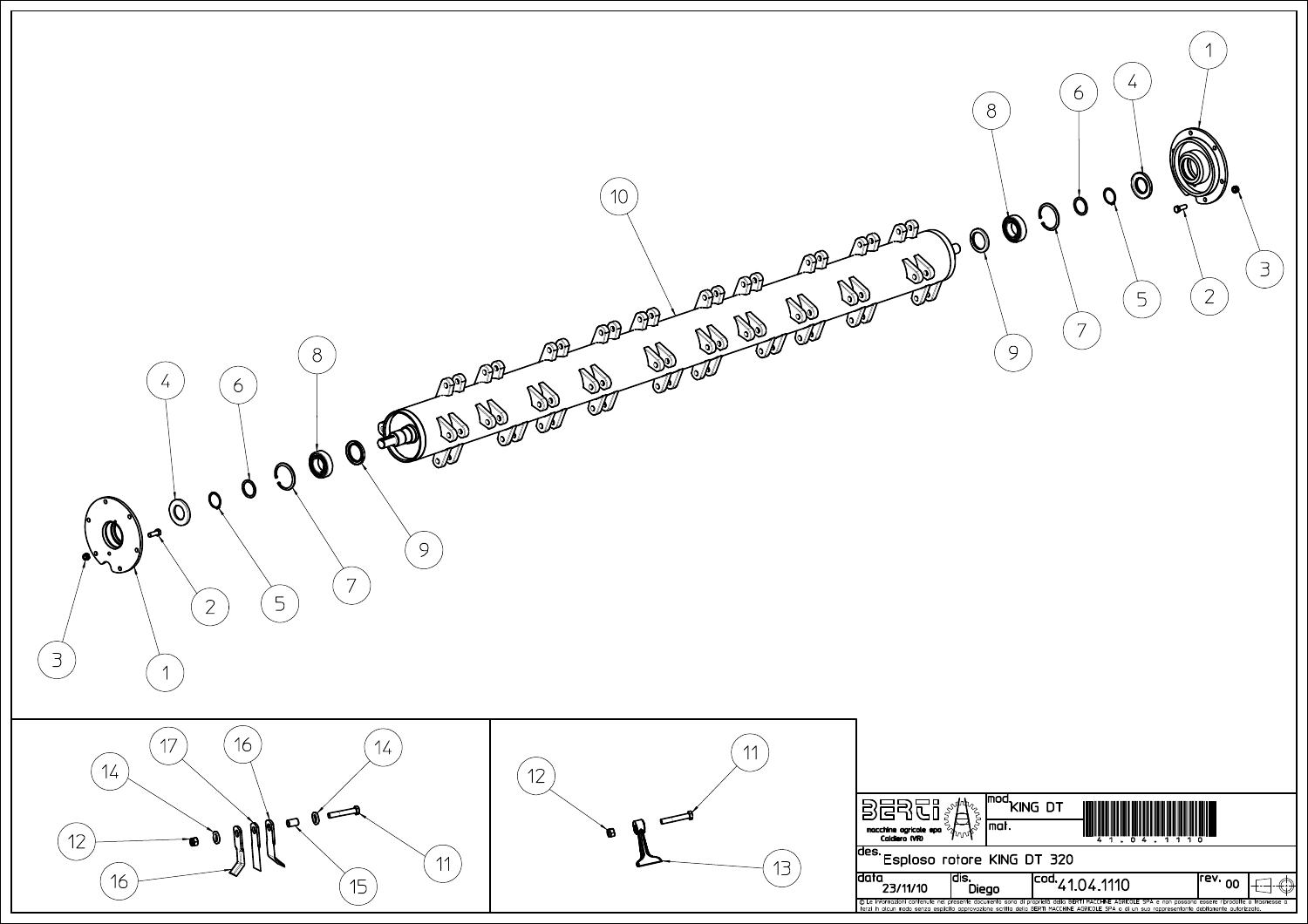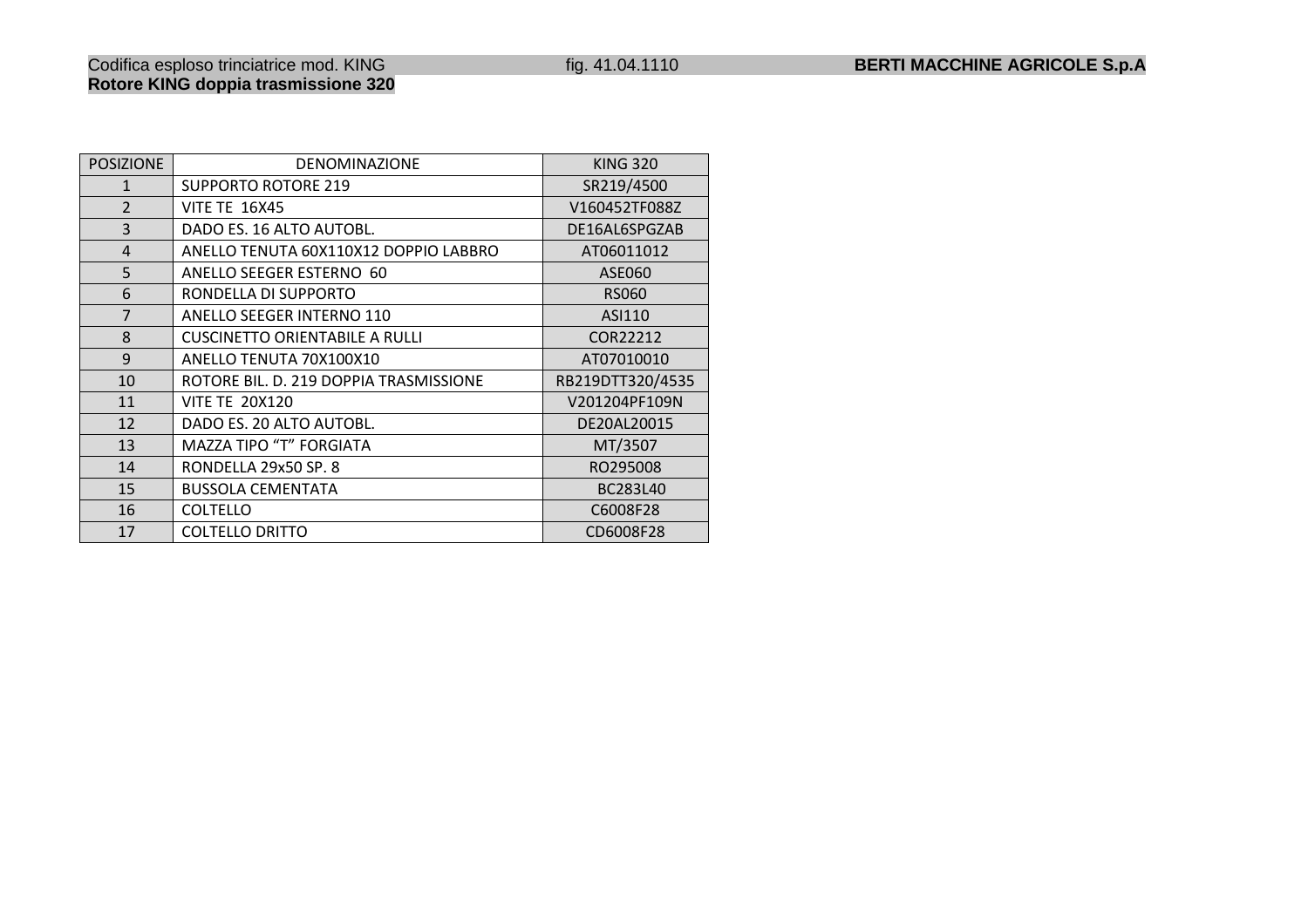## Codifica esploso trinciatrice mod. KING fig. 41.04.1110 **BERTI MACCHINE AGRICOLE S.p.A Rotore KING doppia trasmissione 320**

| <b>POSIZIONE</b> | <b>DENOMINAZIONE</b>                   | <b>KING 320</b>  |
|------------------|----------------------------------------|------------------|
| $\mathbf{1}$     | <b>SUPPORTO ROTORE 219</b>             | SR219/4500       |
| $\overline{2}$   | <b>VITE TE 16X45</b>                   | V160452TF088Z    |
| 3                | DADO ES. 16 ALTO AUTOBL.               | DE16AL6SPGZAB    |
| $\overline{4}$   | ANELLO TENUTA 60X110X12 DOPPIO LABBRO  | AT06011012       |
| 5                | ANELLO SEEGER ESTERNO 60               | ASE060           |
| 6                | RONDELLA DI SUPPORTO                   | <b>RS060</b>     |
| $\overline{7}$   | <b>ANELLO SEEGER INTERNO 110</b>       | ASI110           |
| 8                | <b>CUSCINETTO ORIENTABILE A RULLI</b>  | COR22212         |
| 9                | ANELLO TENUTA 70X100X10                | AT07010010       |
| 10               | ROTORE BIL. D. 219 DOPPIA TRASMISSIONE | RB219DTT320/4535 |
| 11               | <b>VITE TE 20X120</b>                  | V201204PF109N    |
| 12               | DADO ES. 20 ALTO AUTOBL.               | DE20AL20015      |
| 13               | MAZZA TIPO "T" FORGIATA                | MT/3507          |
| 14               | RONDELLA 29x50 SP. 8                   | RO295008         |
| 15               | <b>BUSSOLA CEMENTATA</b>               | BC283L40         |
| 16               | <b>COLTELLO</b>                        | C6008F28         |
| 17               | <b>COLTELLO DRITTO</b>                 | CD6008F28        |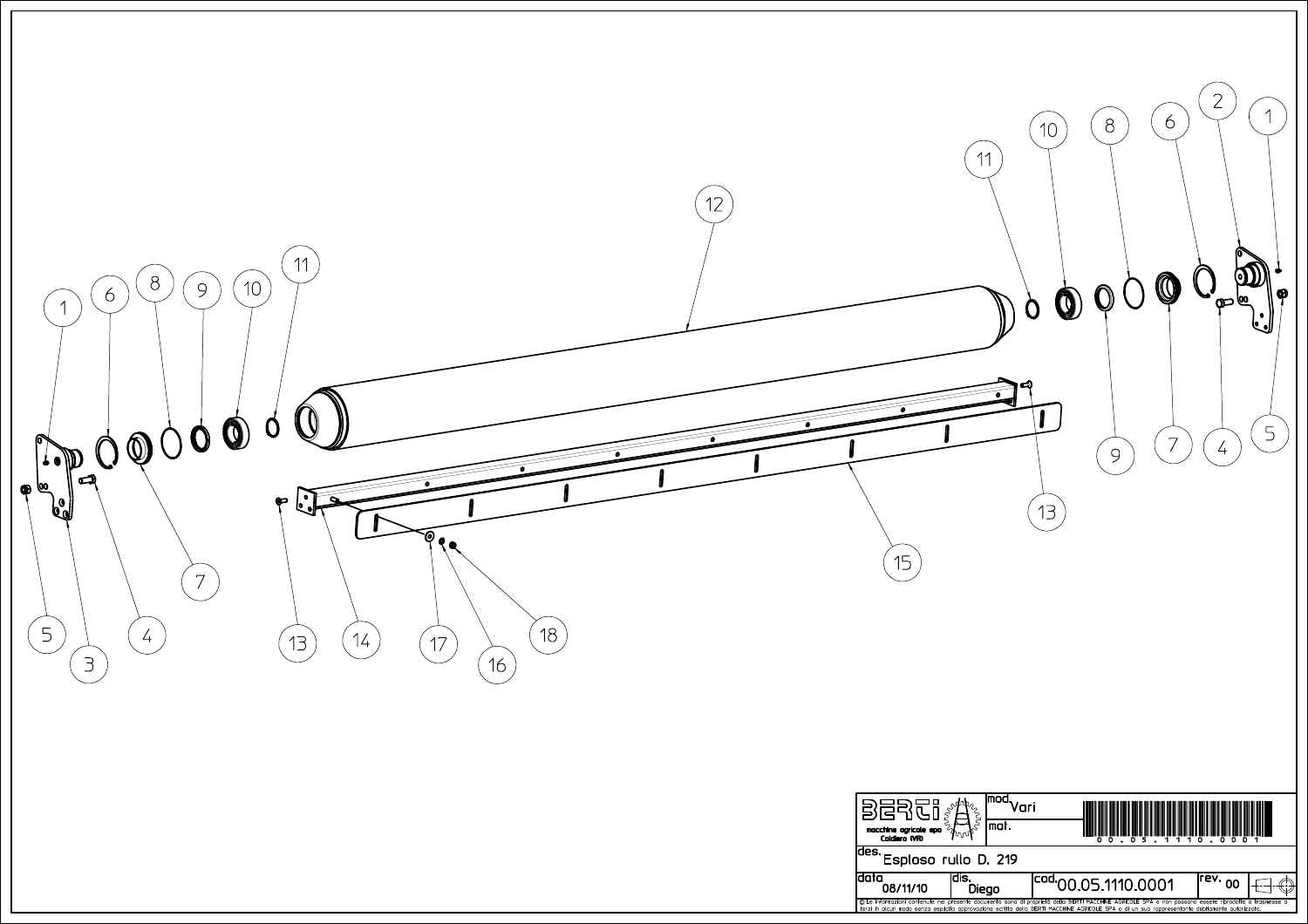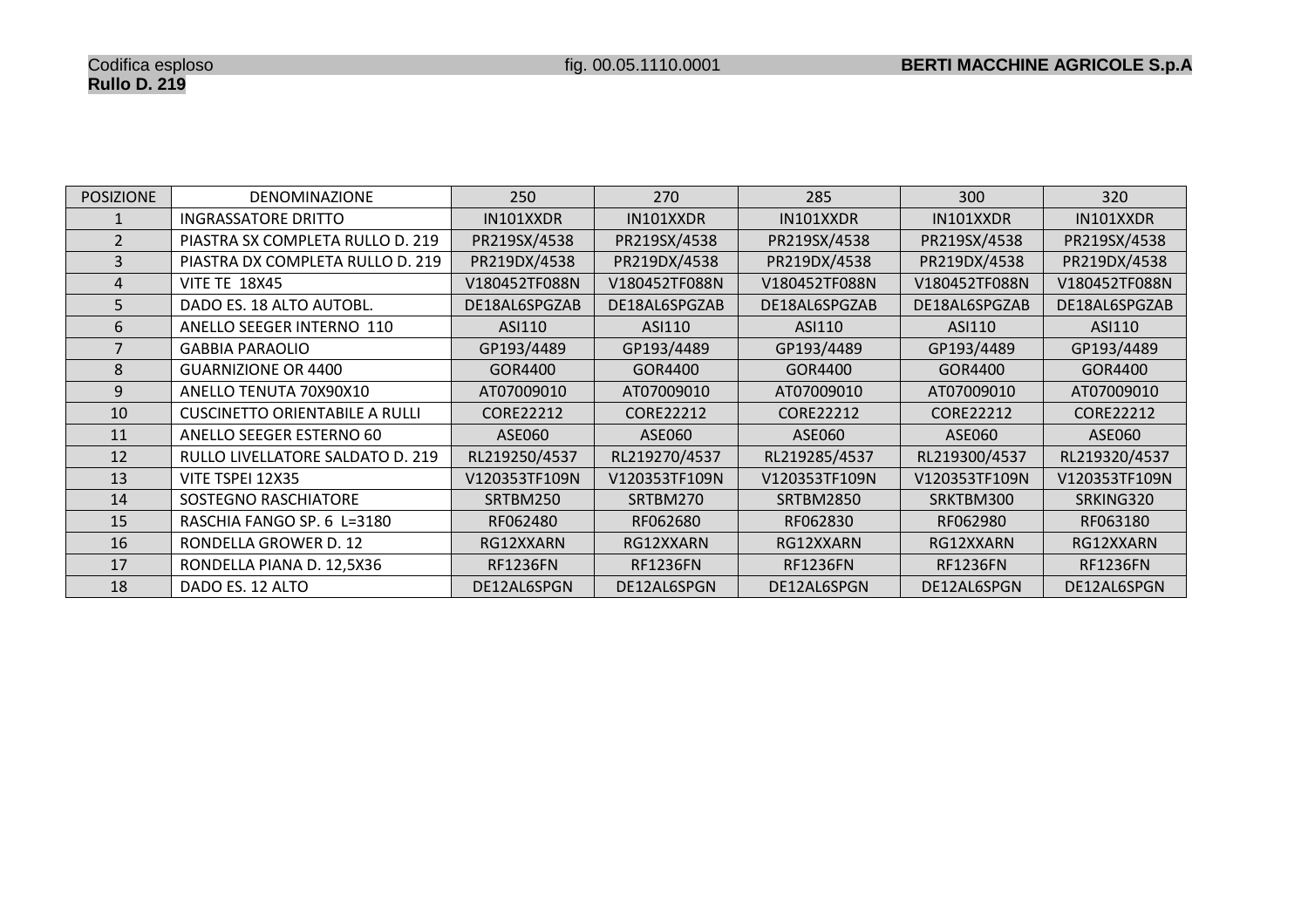| <b>POSIZIONE</b> | <b>DENOMINAZIONE</b>                  | 250              | 270              | 285              | 300              | 320              |
|------------------|---------------------------------------|------------------|------------------|------------------|------------------|------------------|
|                  | <b>INGRASSATORE DRITTO</b>            | IN101XXDR        | IN101XXDR        | IN101XXDR        | IN101XXDR        | IN101XXDR        |
| $\overline{2}$   | PIASTRA SX COMPLETA RULLO D. 219      | PR219SX/4538     | PR219SX/4538     | PR219SX/4538     | PR219SX/4538     | PR219SX/4538     |
| 3                | PIASTRA DX COMPLETA RULLO D. 219      | PR219DX/4538     | PR219DX/4538     | PR219DX/4538     | PR219DX/4538     | PR219DX/4538     |
| 4                | <b>VITE TE 18X45</b>                  | V180452TF088N    | V180452TF088N    | V180452TF088N    | V180452TF088N    | V180452TF088N    |
| 5                | DADO ES. 18 ALTO AUTOBL.              | DE18AL6SPGZAB    | DE18AL6SPGZAB    | DE18AL6SPGZAB    | DE18AL6SPGZAB    | DE18AL6SPGZAB    |
| 6                | ANELLO SEEGER INTERNO 110             | ASI110           | ASI110           | ASI110           | ASI110           | ASI110           |
|                  | <b>GABBIA PARAOLIO</b>                | GP193/4489       | GP193/4489       | GP193/4489       | GP193/4489       | GP193/4489       |
| 8                | <b>GUARNIZIONE OR 4400</b>            | GOR4400          | GOR4400          | GOR4400          | GOR4400          | GOR4400          |
| 9                | ANELLO TENUTA 70X90X10                | AT07009010       | AT07009010       | AT07009010       | AT07009010       | AT07009010       |
| 10               | <b>CUSCINETTO ORIENTABILE A RULLI</b> | <b>CORE22212</b> | <b>CORE22212</b> | <b>CORE22212</b> | <b>CORE22212</b> | <b>CORE22212</b> |
| 11               | ANELLO SEEGER ESTERNO 60              | ASE060           | ASE060           | ASE060           | ASE060           | ASE060           |
| 12               | RULLO LIVELLATORE SALDATO D. 219      | RL219250/4537    | RL219270/4537    | RL219285/4537    | RL219300/4537    | RL219320/4537    |
| 13               | VITE TSPEI 12X35                      | V120353TF109N    | V120353TF109N    | V120353TF109N    | V120353TF109N    | V120353TF109N    |
| 14               | SOSTEGNO RASCHIATORE                  | SRTBM250         | SRTBM270         | <b>SRTBM2850</b> | SRKTBM300        | SRKING320        |
| 15               | RASCHIA FANGO SP. 6 L=3180            | RF062480         | RF062680         | RF062830         | RF062980         | RF063180         |
| 16               | RONDELLA GROWER D. 12                 | RG12XXARN        | RG12XXARN        | RG12XXARN        | RG12XXARN        | RG12XXARN        |
| 17               | RONDELLA PIANA D. 12,5X36             | <b>RF1236FN</b>  | <b>RF1236FN</b>  | <b>RF1236FN</b>  | <b>RF1236FN</b>  | <b>RF1236FN</b>  |
| 18               | DADO ES. 12 ALTO                      | DE12AL6SPGN      | DE12AL6SPGN      | DE12AL6SPGN      | DE12AL6SPGN      | DE12AL6SPGN      |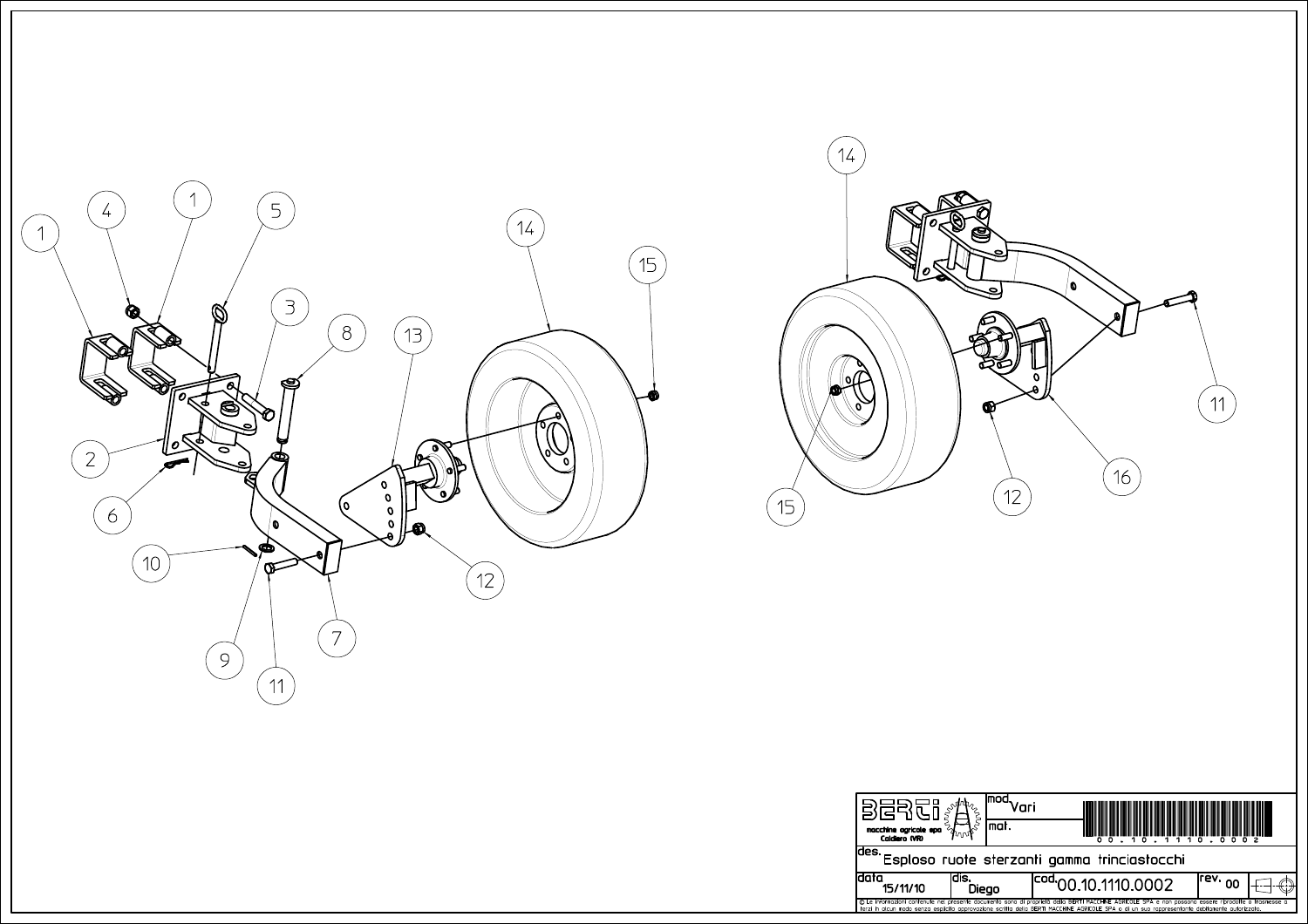